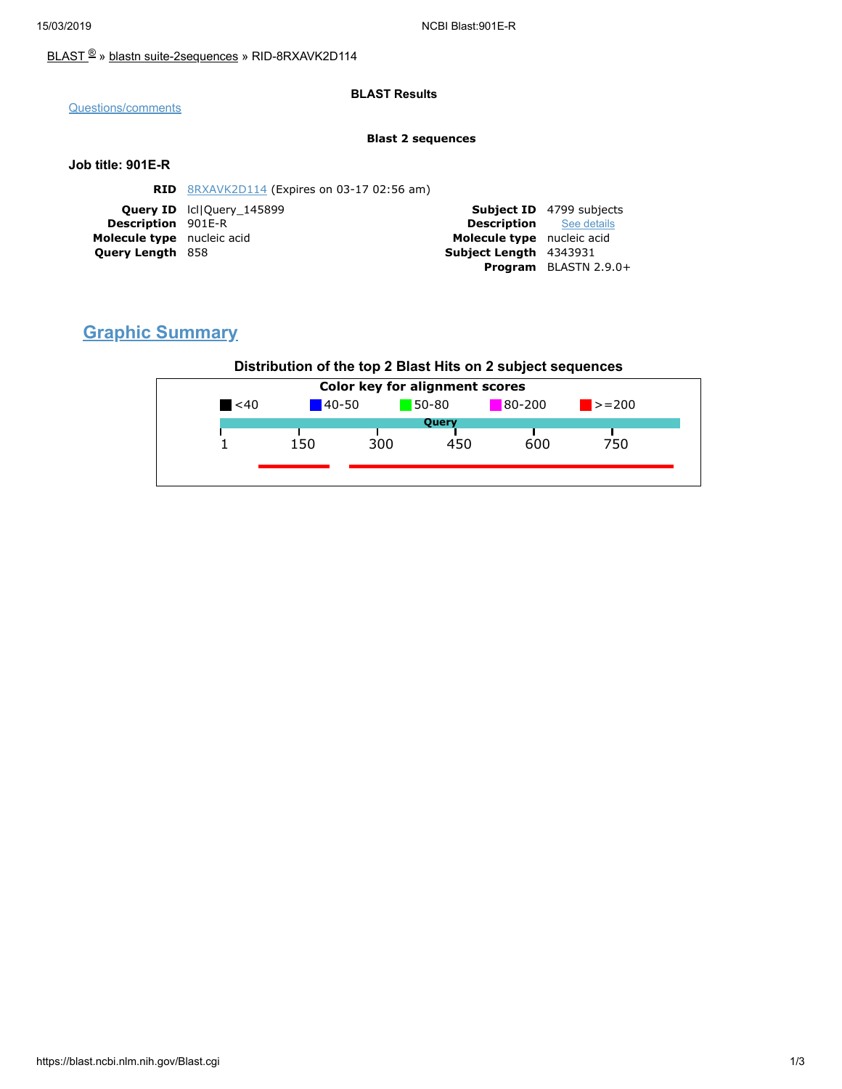### [BLAST](https://blast.ncbi.nlm.nih.gov/Blast.cgi) ® » blastn [suite-2sequences](https://blast.ncbi.nlm.nih.gov/Blast.cgi?PAGE=MegaBlast&PROGRAM=blastn&PAGE_TYPE=BlastSearch&BLAST_SPEC=blast2seq) » RID-8RXAVK2D114

### **BLAST Results**

[Questions/comments](https://support.nlm.nih.gov/support/create-case/)

#### **Blast 2 sequences**

### **Job title: 901E-R**

|                            | <b>RID</b> 8RXAVK2D114 (Expires on 03-17 02:56 am) |                                |                                 |
|----------------------------|----------------------------------------------------|--------------------------------|---------------------------------|
|                            | <b>Query ID</b> IcllOuery 145899                   |                                | <b>Subject ID</b> 4799 subjects |
| <b>Description</b> 901E-R  |                                                    | <b>Description</b> See details |                                 |
| Molecule type nucleic acid |                                                    | Molecule type nucleic acid     |                                 |
| <b>Query Length 858</b>    |                                                    | Subject Length 4343931         |                                 |
|                            |                                                    |                                | Program BLASTN 2.9.0+           |

# **Graphic Summary**

## **Distribution of the top 2 Blast Hits on 2 subject sequences**

| $80 - 200$<br>50-80<br>$\leq 40$<br>$140 - 50$<br>$\ge$ = 200<br>Query<br>300<br>600<br>750<br>150<br>450 | Color key for alignment scores |  |  |  |  |  |  |  |
|-----------------------------------------------------------------------------------------------------------|--------------------------------|--|--|--|--|--|--|--|
|                                                                                                           |                                |  |  |  |  |  |  |  |
|                                                                                                           |                                |  |  |  |  |  |  |  |
|                                                                                                           |                                |  |  |  |  |  |  |  |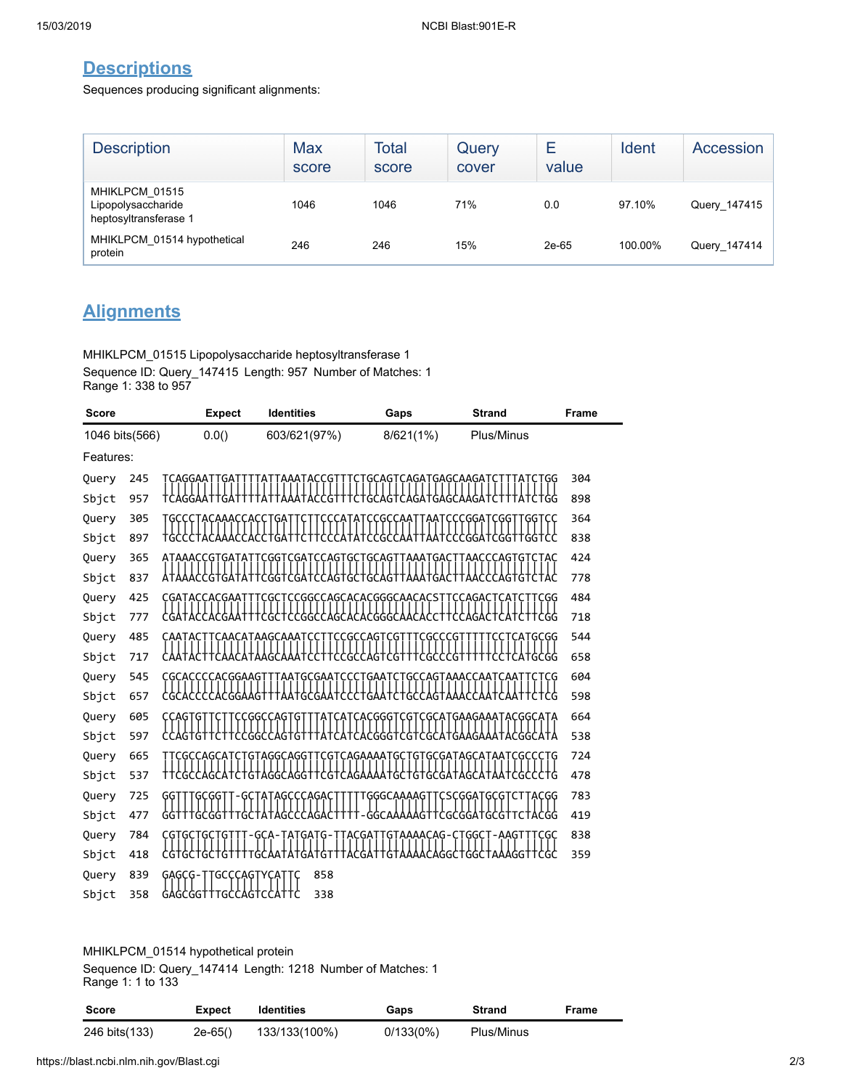## **Descriptions**

Sequences producing significant alignments:

| <b>Description</b>                                            | <b>Max</b><br>score | <b>Total</b><br>score | Query<br>cover | E<br>value | Ident   | Accession    |
|---------------------------------------------------------------|---------------------|-----------------------|----------------|------------|---------|--------------|
| MHIKLPCM 01515<br>Lipopolysaccharide<br>heptosyltransferase 1 | 1046                | 1046                  | 71%            | 0.0        | 97.10%  | Query_147415 |
| MHIKLPCM 01514 hypothetical<br>protein                        | 246                 | 246                   | 15%            | 2e-65      | 100.00% | Query_147414 |

## **Alignments**

MHIKLPCM\_01515 Lipopolysaccharide heptosyltransferase 1 Sequence ID: Query\_147415 Length: 957 Number of Matches: 1 Range 1: 338 to 957

| <b>Score</b>   |            | <b>Expect</b>         | <b>Identities</b>          | Gaps                                                      | <b>Strand</b>                | <b>Frame</b> |
|----------------|------------|-----------------------|----------------------------|-----------------------------------------------------------|------------------------------|--------------|
| 1046 bits(566) |            | 0.0()                 | 603/621(97%)               | 8/621(1%)                                                 | Plus/Minus                   |              |
| Features:      |            |                       |                            |                                                           |                              |              |
| Query          | 245        | CAGGAA                |                            | CAGATGAGCAAGA                                             | GG                           | 304          |
| Sbjct          | 957        |                       |                            |                                                           |                              | 898          |
| Query          | 305        |                       |                            | :GCCAA                                                    | <b>CCGGATCGG</b><br>GG T     | 364          |
| Sbjct          | 897        |                       |                            |                                                           |                              | 838          |
| Query          | 365        | ATAAACCGTGAT          | CGAT<br><b>CCAGT</b><br>GG | GC.<br>GCAG <sup>.</sup><br>AAATGAC                       | AACCCAGT<br>Ġ                | 424          |
| Sbjct          | 837        |                       | G                          |                                                           |                              | 778          |
| Query          | 425        | CGATACCACGAAT         | <b>CGC</b>                 | TCCGGCCAGCACACGGGCAACACSTT                                | <b>CCAGACTCATC</b><br>TCGG   | 484          |
| Sbjct          | 777        |                       | G<br>GG<br>:AGCA           | ACGGGC                                                    | <b>CGG</b>                   | 718          |
| Query          | 485        |                       | :ATAAGCAAA                 | GCC<br>G<br>.G                                            | <b>GCGG</b>                  | 544          |
| Sbjct          | 717        |                       |                            | GC<br>r<br>r<br>G<br>G<br>rgc                             | G<br>ATGCGG                  | 658          |
| Query          | 545        | CGCACCCCACGGAAG       | GCGAAT<br>AAT              | GAA<br>GC                                                 | :CAGTAAACCAATCAA             | 604          |
| Sbjct          | 657        |                       |                            | GC                                                        |                              | 598          |
| Query          | 605<br>597 |                       | CGGCCAGT                   | :ACGGGT<br><b>CGT</b>                                     | CGCATGAAGAAATACGGCATA        | 664          |
| Sbjct          | 665        |                       |                            |                                                           |                              | 538<br>724   |
| Query<br>Sbjct | 537        | GCCAGC                | AGGCAGG<br>CG1<br>G        | CAGAAAAT<br>GC.<br>G                                      | GCGATAGCATAAT<br>CGCCCT<br>G | 478          |
| Query          | 725        | GGT                   |                            | TTGCGGTT-GCTATAGCCCAGACTTTTTGGGCAAAAGTTCSCGGATGCGTCTTACGG |                              | 783          |
| Sbjct          | 477        | GC                    |                            | GGCA<br>G                                                 | I ACGG<br>G<br>CGGA I<br>.G  | 419          |
| Query          | 784        |                       |                            | GTAAAACAG                                                 | 'GGCT<br>-AAGT<br>CGC        | 838          |
| Sbjct          | 418        |                       |                            |                                                           |                              | 359          |
| Query          | 839        | TGCCCAGTYCA<br>GAGCG- | 858                        |                                                           |                              |              |
| Sbjct          | 358        | GAGCGGTTTGCCAGTCC     | 338                        |                                                           |                              |              |
|                |            |                       |                            |                                                           |                              |              |

### MHIKLPCM\_01514 hypothetical protein

Sequence ID: Query\_147414 Length: 1218 Number of Matches: 1 Range 1: 1 to 133

| Score         | <b>Expect</b> | <b>Identities</b> | Gaps      | <b>Strand</b> | Frame |
|---------------|---------------|-------------------|-----------|---------------|-------|
| 246 bits(133) | $2e-65()$     | 133/133(100%)     | 0/133(0%) | Plus/Minus    |       |